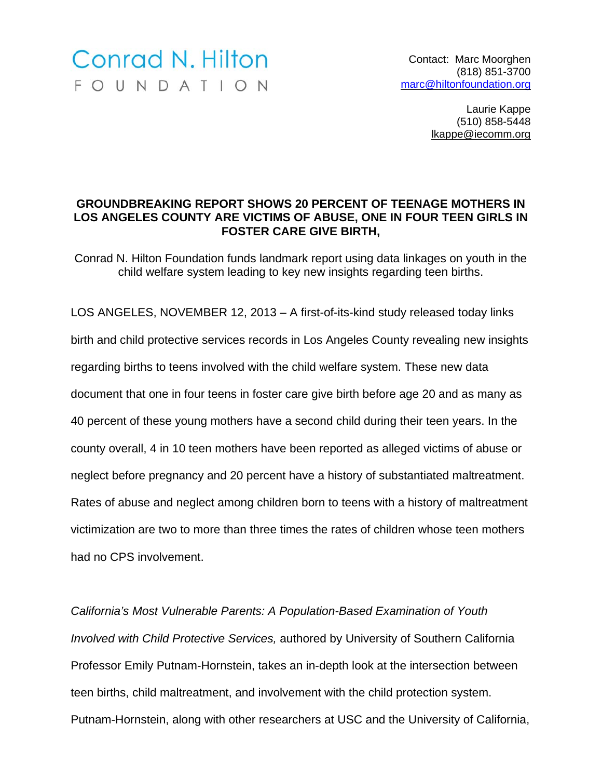## Conrad N. Hilton FOUNDATION

Contact: Marc Moorghen (818) 851-3700 marc@hiltonfoundation.org

> Laurie Kappe (510) 858-5448 lkappe@iecomm.org

## **GROUNDBREAKING REPORT SHOWS 20 PERCENT OF TEENAGE MOTHERS IN LOS ANGELES COUNTY ARE VICTIMS OF ABUSE, ONE IN FOUR TEEN GIRLS IN FOSTER CARE GIVE BIRTH,**

Conrad N. Hilton Foundation funds landmark report using data linkages on youth in the child welfare system leading to key new insights regarding teen births.

LOS ANGELES, NOVEMBER 12, 2013 – A first-of-its-kind study released today links birth and child protective services records in Los Angeles County revealing new insights regarding births to teens involved with the child welfare system. These new data document that one in four teens in foster care give birth before age 20 and as many as 40 percent of these young mothers have a second child during their teen years. In the county overall, 4 in 10 teen mothers have been reported as alleged victims of abuse or neglect before pregnancy and 20 percent have a history of substantiated maltreatment. Rates of abuse and neglect among children born to teens with a history of maltreatment victimization are two to more than three times the rates of children whose teen mothers had no CPS involvement.

*California's Most Vulnerable Parents: A Population-Based Examination of Youth Involved with Child Protective Services,* authored by University of Southern California Professor Emily Putnam-Hornstein, takes an in-depth look at the intersection between teen births, child maltreatment, and involvement with the child protection system. Putnam-Hornstein, along with other researchers at USC and the University of California,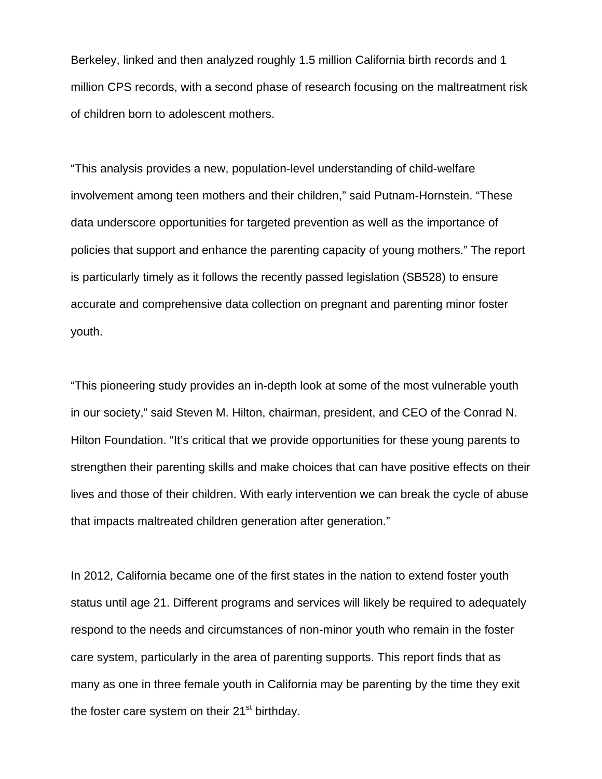Berkeley, linked and then analyzed roughly 1.5 million California birth records and 1 million CPS records, with a second phase of research focusing on the maltreatment risk of children born to adolescent mothers.

"This analysis provides a new, population-level understanding of child-welfare involvement among teen mothers and their children," said Putnam-Hornstein. "These data underscore opportunities for targeted prevention as well as the importance of policies that support and enhance the parenting capacity of young mothers." The report is particularly timely as it follows the recently passed legislation (SB528) to ensure accurate and comprehensive data collection on pregnant and parenting minor foster youth.

"This pioneering study provides an in-depth look at some of the most vulnerable youth in our society," said Steven M. Hilton, chairman, president, and CEO of the Conrad N. Hilton Foundation. "It's critical that we provide opportunities for these young parents to strengthen their parenting skills and make choices that can have positive effects on their lives and those of their children. With early intervention we can break the cycle of abuse that impacts maltreated children generation after generation."

In 2012, California became one of the first states in the nation to extend foster youth status until age 21. Different programs and services will likely be required to adequately respond to the needs and circumstances of non-minor youth who remain in the foster care system, particularly in the area of parenting supports. This report finds that as many as one in three female youth in California may be parenting by the time they exit the foster care system on their  $21<sup>st</sup>$  birthday.